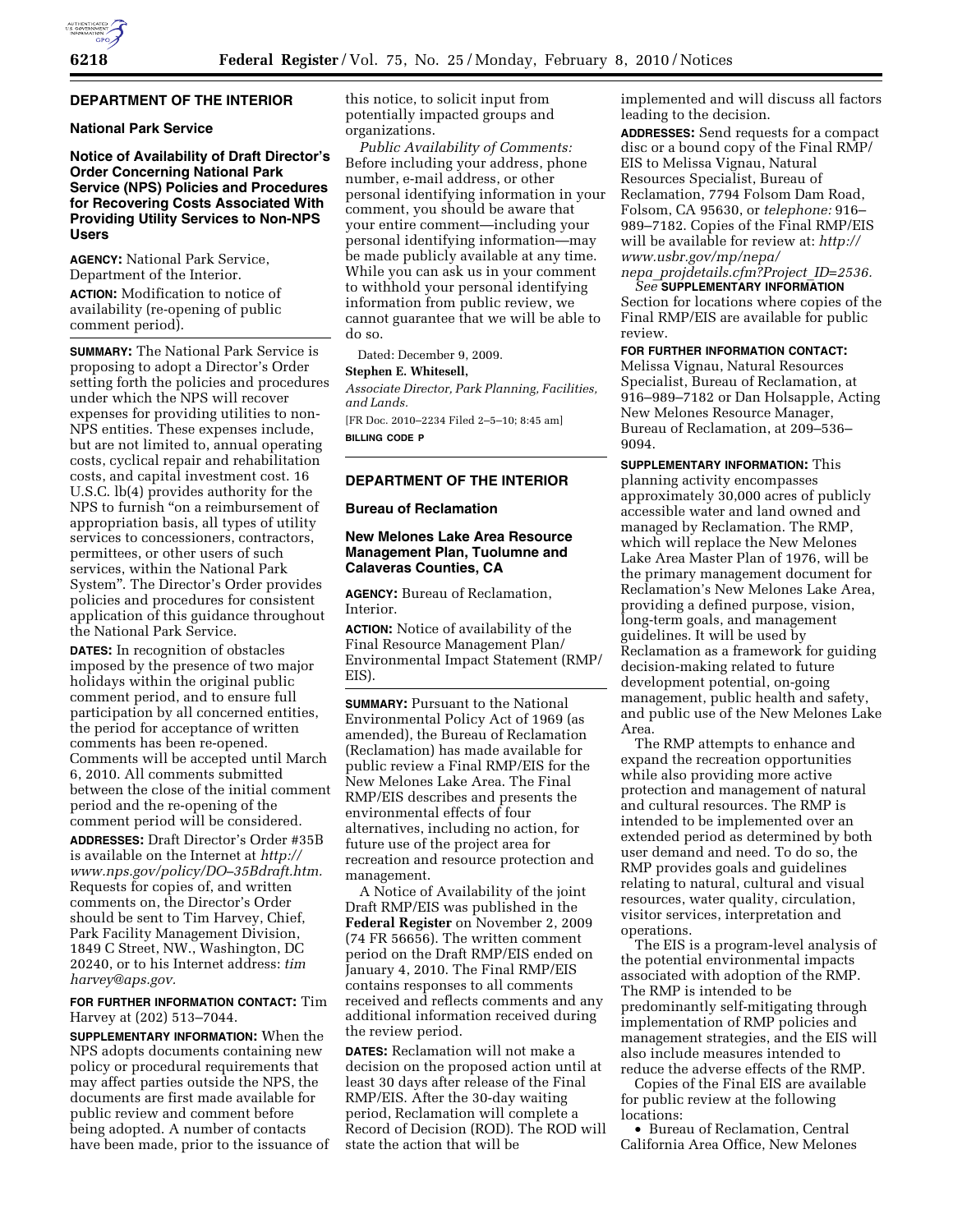# **DEPARTMENT OF THE INTERIOR**

## **National Park Service**

**Notice of Availability of Draft Director's Order Concerning National Park Service (NPS) Policies and Procedures for Recovering Costs Associated With Providing Utility Services to Non-NPS Users** 

**AGENCY:** National Park Service, Department of the Interior.

**ACTION:** Modification to notice of availability (re-opening of public comment period).

**SUMMARY:** The National Park Service is proposing to adopt a Director's Order setting forth the policies and procedures under which the NPS will recover expenses for providing utilities to non-NPS entities. These expenses include, but are not limited to, annual operating costs, cyclical repair and rehabilitation costs, and capital investment cost. 16 U.S.C. lb(4) provides authority for the NPS to furnish ''on a reimbursement of appropriation basis, all types of utility services to concessioners, contractors, permittees, or other users of such services, within the National Park System''. The Director's Order provides policies and procedures for consistent application of this guidance throughout the National Park Service.

**DATES:** In recognition of obstacles imposed by the presence of two major holidays within the original public comment period, and to ensure full participation by all concerned entities, the period for acceptance of written comments has been re-opened. Comments will be accepted until March 6, 2010. All comments submitted between the close of the initial comment period and the re-opening of the comment period will be considered.

**ADDRESSES:** Draft Director's Order #35B is available on the Internet at *http:// www.nps.gov/policy/DO–35Bdraft.htm.*  Requests for copies of, and written comments on, the Director's Order should be sent to Tim Harvey, Chief, Park Facility Management Division, 1849 C Street, NW., Washington, DC 20240, or to his Internet address: *tim harvey@aps.gov.* 

**FOR FURTHER INFORMATION CONTACT:** Tim Harvey at (202) 513–7044.

**SUPPLEMENTARY INFORMATION:** When the NPS adopts documents containing new policy or procedural requirements that may affect parties outside the NPS, the documents are first made available for public review and comment before being adopted. A number of contacts have been made, prior to the issuance of this notice, to solicit input from potentially impacted groups and organizations.

*Public Availability of Comments:*  Before including your address, phone number, e-mail address, or other personal identifying information in your comment, you should be aware that your entire comment—including your personal identifying information—may be made publicly available at any time. While you can ask us in your comment to withhold your personal identifying information from public review, we cannot guarantee that we will be able to do so.

Dated: December 9, 2009.

## **Stephen E. Whitesell,**

*Associate Director, Park Planning, Facilities, and Lands.* 

[FR Doc. 2010–2234 Filed 2–5–10; 8:45 am] **BILLING CODE P** 

# **DEPARTMENT OF THE INTERIOR**

## **Bureau of Reclamation**

# **New Melones Lake Area Resource Management Plan, Tuolumne and Calaveras Counties, CA**

**AGENCY:** Bureau of Reclamation, Interior.

**ACTION:** Notice of availability of the Final Resource Management Plan/ Environmental Impact Statement (RMP/ EIS).

**SUMMARY: Pursuant to the National** Environmental Policy Act of 1969 (as amended), the Bureau of Reclamation (Reclamation) has made available for public review a Final RMP/EIS for the New Melones Lake Area. The Final RMP/EIS describes and presents the environmental effects of four alternatives, including no action, for future use of the project area for recreation and resource protection and management.

A Notice of Availability of the joint Draft RMP/EIS was published in the **Federal Register** on November 2, 2009 (74 FR 56656). The written comment period on the Draft RMP/EIS ended on January 4, 2010. The Final RMP/EIS contains responses to all comments received and reflects comments and any additional information received during the review period.

**DATES:** Reclamation will not make a decision on the proposed action until at least 30 days after release of the Final RMP/EIS. After the 30-day waiting period, Reclamation will complete a Record of Decision (ROD). The ROD will state the action that will be

implemented and will discuss all factors leading to the decision.

**ADDRESSES:** Send requests for a compact disc or a bound copy of the Final RMP/ EIS to Melissa Vignau, Natural Resources Specialist, Bureau of Reclamation, 7794 Folsom Dam Road, Folsom, CA 95630, or *telephone:* 916– 989–7182. Copies of the Final RMP/EIS will be available for review at: *http:// www.usbr.gov/mp/nepa/* 

### *nepa*\_*projdetails.cfm?Project*\_*ID=2536. See* **SUPPLEMENTARY INFORMATION**

Section for locations where copies of the Final RMP/EIS are available for public review.

## **FOR FURTHER INFORMATION CONTACT:**

Melissa Vignau, Natural Resources Specialist, Bureau of Reclamation, at 916–989–7182 or Dan Holsapple, Acting New Melones Resource Manager, Bureau of Reclamation, at 209–536– 9094.

**SUPPLEMENTARY INFORMATION:** This planning activity encompasses approximately 30,000 acres of publicly accessible water and land owned and managed by Reclamation. The RMP, which will replace the New Melones Lake Area Master Plan of 1976, will be the primary management document for Reclamation's New Melones Lake Area, providing a defined purpose, vision, long-term goals, and management guidelines. It will be used by Reclamation as a framework for guiding decision-making related to future development potential, on-going management, public health and safety, and public use of the New Melones Lake Area.

The RMP attempts to enhance and expand the recreation opportunities while also providing more active protection and management of natural and cultural resources. The RMP is intended to be implemented over an extended period as determined by both user demand and need. To do so, the RMP provides goals and guidelines relating to natural, cultural and visual resources, water quality, circulation, visitor services, interpretation and operations.

The EIS is a program-level analysis of the potential environmental impacts associated with adoption of the RMP. The RMP is intended to be predominantly self-mitigating through implementation of RMP policies and management strategies, and the EIS will also include measures intended to reduce the adverse effects of the RMP.

Copies of the Final EIS are available for public review at the following locations:

• Bureau of Reclamation, Central California Area Office, New Melones